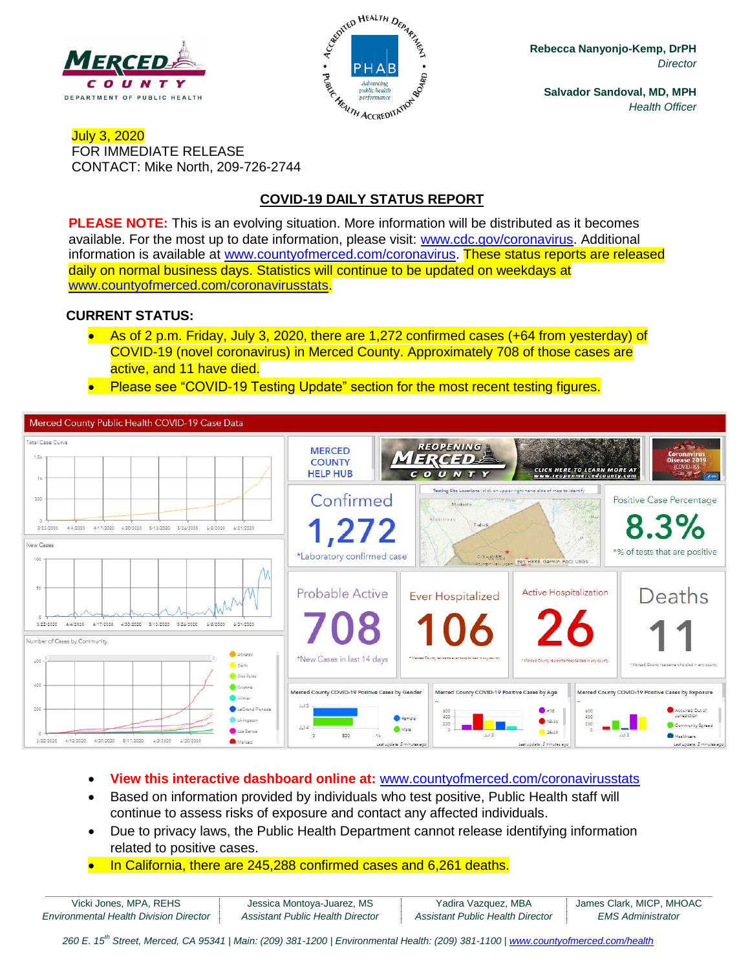



**Rebecca Nanyonjo-Kemp, DrPH** *Director*

**Salvador Sandoval, MD, MPH** *Health Officer*

## July 3, 2020 FOR IMMEDIATE RELEASE CONTACT: Mike North, 209-726-2744

# **COVID-19 DAILY STATUS REPORT**

**PLEASE NOTE:** This is an evolving situation. More information will be distributed as it becomes available. For the most up to date information, please visit: [www.cdc.gov/coronavirus.](http://www.cdc.gov/coronavirus) Additional information is available at [www.countyofmerced.com/coronavirus.](http://www.countyofmerced.com/coronavirus) These status reports are released daily on normal business days. Statistics will continue to be updated on weekdays at [www.countyofmerced.com/coronavirusstats.](http://www.countyofmerced.com/coronavirusstats)

#### **CURRENT STATUS:**

- As of 2 p.m. Friday, July 3, 2020, there are 1,272 confirmed cases (+64 from yesterday) of COVID-19 (novel coronavirus) in Merced County. Approximately 708 of those cases are active, and 11 have died.
- Please see "COVID-19 Testing Update" section for the most recent testing figures.



- **View this interactive dashboard online at:** [www.countyofmerced.com/coronavirusstats](http://www.countyofmerced.com/coronavirusstats)
- Based on information provided by individuals who test positive, Public Health staff will continue to assess risks of exposure and contact any affected individuals.
- Due to privacy laws, the Public Health Department cannot release identifying information related to positive cases.
- In California, there are 245,288 confirmed cases and 6,261 deaths.

| Vicki Jones, MPA, REHS                        | Jessica Montoya-Juarez, MS       | Yadira Vazquez, MBA                     | James Clark, MICP, MHOAC |
|-----------------------------------------------|----------------------------------|-----------------------------------------|--------------------------|
| <b>Environmental Health Division Director</b> | Assistant Public Health Director | <b>Assistant Public Health Director</b> | EMS Administrator        |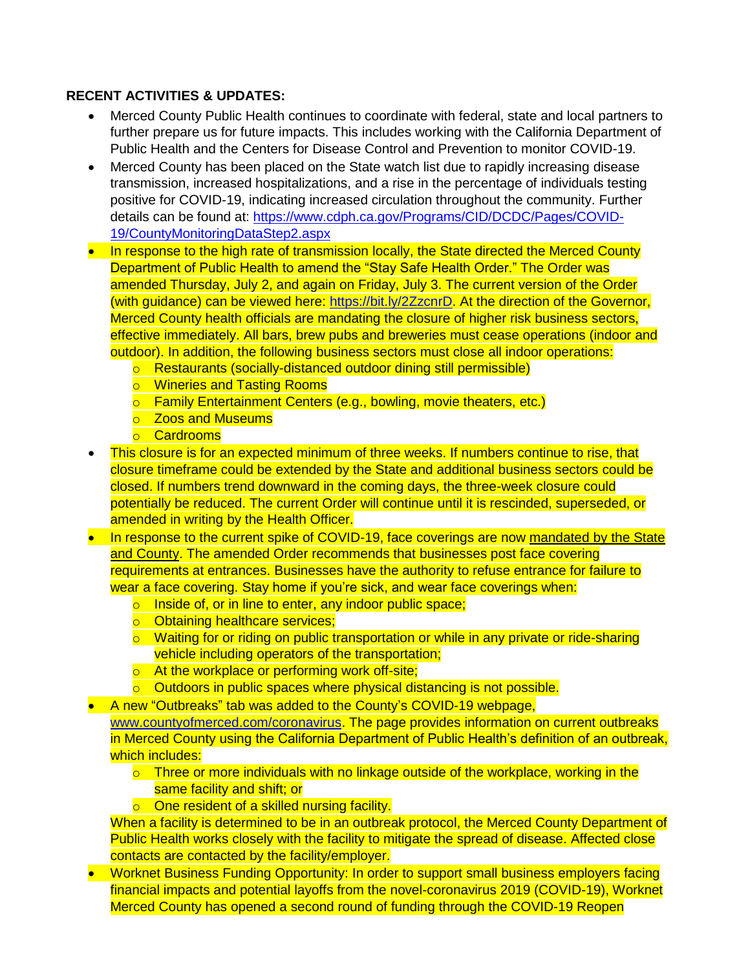### **RECENT ACTIVITIES & UPDATES:**

- Merced County Public Health continues to coordinate with federal, state and local partners to further prepare us for future impacts. This includes working with the California Department of Public Health and the Centers for Disease Control and Prevention to monitor COVID-19.
- Merced County has been placed on the State watch list due to rapidly increasing disease transmission, increased hospitalizations, and a rise in the percentage of individuals testing positive for COVID-19, indicating increased circulation throughout the community. Further details can be found at: [https://www.cdph.ca.gov/Programs/CID/DCDC/Pages/COVID-](https://www.cdph.ca.gov/Programs/CID/DCDC/Pages/COVID-19/CountyMonitoringDataStep2.aspx)[19/CountyMonitoringDataStep2.aspx](https://www.cdph.ca.gov/Programs/CID/DCDC/Pages/COVID-19/CountyMonitoringDataStep2.aspx)
- In response to the high rate of transmission locally, the State directed the Merced County Department of Public Health to amend the "Stay Safe Health Order." The Order was amended Thursday, July 2, and again on Friday, July 3. The current version of the Order (with guidance) can be viewed here: [https://bit.ly/2ZzcnrD.](https://bit.ly/2ZzcnrD) At the direction of the Governor, Merced County health officials are mandating the closure of higher risk business sectors, effective immediately. All bars, brew pubs and breweries must cease operations (indoor and outdoor). In addition, the following business sectors must close all indoor operations:
	- o Restaurants (socially-distanced outdoor dining still permissible)
	- o Wineries and Tasting Rooms
	- o Family Entertainment Centers (e.g., bowling, movie theaters, etc.)
	- o Zoos and Museums
	- o Cardrooms
- This closure is for an expected minimum of three weeks. If numbers continue to rise, that closure timeframe could be extended by the State and additional business sectors could be closed. If numbers trend downward in the coming days, the three-week closure could potentially be reduced. The current Order will continue until it is rescinded, superseded, or amended in writing by the Health Officer.
- In response to the current spike of COVID-19, face coverings are now mandated by the State and County. The amended Order recommends that businesses post face covering requirements at entrances. Businesses have the authority to refuse entrance for failure to wear a face covering. Stay home if you're sick, and wear face coverings when:
	- o Inside of, or in line to enter, any indoor public space;
	- o Obtaining healthcare services;
	- $\circ$  Waiting for or riding on public transportation or while in any private or ride-sharing vehicle including operators of the transportation;
	- o At the workplace or performing work off-site;
	- $\circ$  Outdoors in public spaces where physical distancing is not possible.
- A new "Outbreaks" tab was added to the County's COVID-19 webpage, [www.countyofmerced.com/coronavirus.](http://www.countyofmerced.com/coronavirus) The page provides information on current outbreaks in Merced County using the California Department of Public Health's definition of an outbreak, which includes:
	- $\circ$  Three or more individuals with no linkage outside of the workplace, working in the same facility and shift; or
	- o One resident of a skilled nursing facility.
	- When a facility is determined to be in an outbreak protocol, the Merced County Department of Public Health works closely with the facility to mitigate the spread of disease. Affected close contacts are contacted by the facility/employer.
- Worknet Business Funding Opportunity: In order to support small business employers facing financial impacts and potential layoffs from the novel-coronavirus 2019 (COVID-19), Worknet Merced County has opened a second round of funding through the COVID-19 Reopen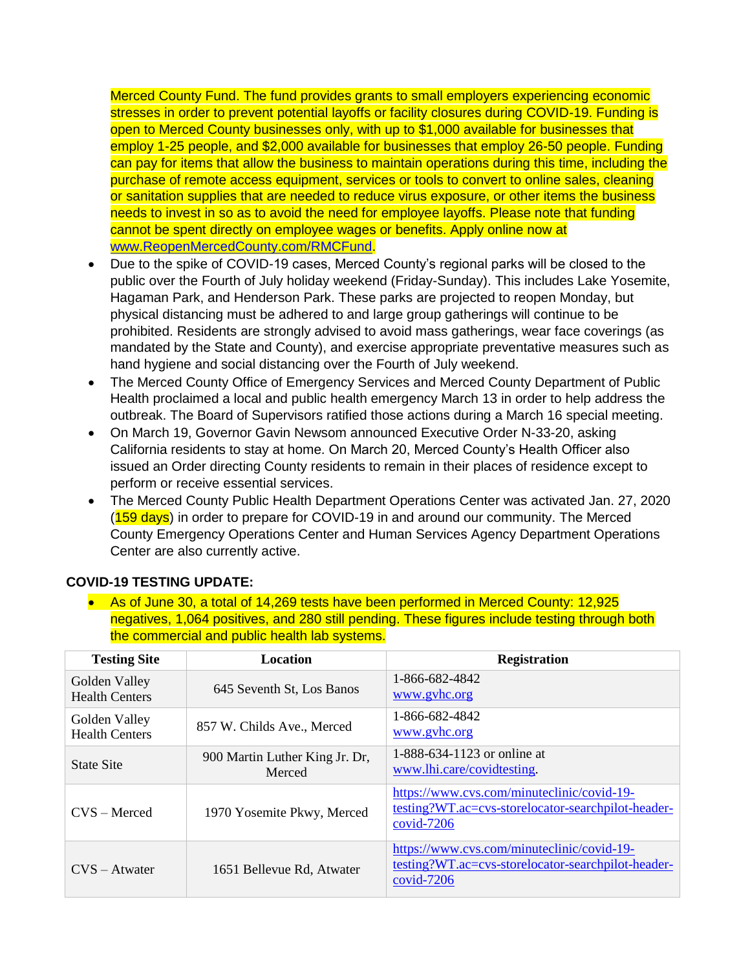Merced County Fund. The fund provides grants to small employers experiencing economic stresses in order to prevent potential layoffs or facility closures during COVID-19. Funding is open to Merced County businesses only, with up to \$1,000 available for businesses that employ 1-25 people, and \$2,000 available for businesses that employ 26-50 people. Funding can pay for items that allow the business to maintain operations during this time, including the purchase of remote access equipment, services or tools to convert to online sales, cleaning or sanitation supplies that are needed to reduce virus exposure, or other items the business needs to invest in so as to avoid the need for employee layoffs. Please note that funding cannot be spent directly on employee wages or benefits. Apply online now at [www.ReopenMercedCounty.com/RMCFund.](http://www.reopenmercedcounty.com/RMCFund)

- Due to the spike of COVID-19 cases, Merced County's regional parks will be closed to the public over the Fourth of July holiday weekend (Friday-Sunday). This includes Lake Yosemite, Hagaman Park, and Henderson Park. These parks are projected to reopen Monday, but physical distancing must be adhered to and large group gatherings will continue to be prohibited. Residents are strongly advised to avoid mass gatherings, wear face coverings (as mandated by the State and County), and exercise appropriate preventative measures such as hand hygiene and social distancing over the Fourth of July weekend.
- The Merced County Office of Emergency Services and Merced County Department of Public Health proclaimed a local and public health emergency March 13 in order to help address the outbreak. The Board of Supervisors ratified those actions during a March 16 special meeting.
- On March 19, Governor Gavin Newsom announced Executive Order N-33-20, asking California residents to stay at home. On March 20, Merced County's Health Officer also issued an Order directing County residents to remain in their places of residence except to perform or receive essential services.
- The Merced County Public Health Department Operations Center was activated Jan. 27, 2020 (159 days) in order to prepare for COVID-19 in and around our community. The Merced County Emergency Operations Center and Human Services Agency Department Operations Center are also currently active.

| <u>ulo ooliiliioloidi dha pablio hoditii idb oyotonio.</u> |                                          |                                                                                                                |  |  |
|------------------------------------------------------------|------------------------------------------|----------------------------------------------------------------------------------------------------------------|--|--|
| <b>Testing Site</b>                                        | <b>Location</b>                          | <b>Registration</b>                                                                                            |  |  |
| Golden Valley<br><b>Health Centers</b>                     | 645 Seventh St, Los Banos                | 1-866-682-4842<br>www.gyhc.org                                                                                 |  |  |
| Golden Valley<br><b>Health Centers</b>                     | 857 W. Childs Ave., Merced               | 1-866-682-4842<br>www.gyhc.org                                                                                 |  |  |
| <b>State Site</b>                                          | 900 Martin Luther King Jr. Dr,<br>Merced | 1-888-634-1123 or online at<br>www.lhi.care/covidtesting.                                                      |  |  |
| $CVS - Mercedes$                                           | 1970 Yosemite Pkwy, Merced               | https://www.cvs.com/minuteclinic/covid-19-<br>testing?WT.ac=cvs-storelocator-searchpilot-header-<br>covid-7206 |  |  |
| $CVS - Atwater$                                            | 1651 Bellevue Rd, Atwater                | https://www.cvs.com/minuteclinic/covid-19-<br>testing?WT.ac=cvs-storelocator-searchpilot-header-<br>covid-7206 |  |  |

#### **COVID-19 TESTING UPDATE:**

 As of June 30, a total of 14,269 tests have been performed in Merced County: 12,925 negatives, 1,064 positives, and 280 still pending. These figures include testing through both the commercial and public health lab systems.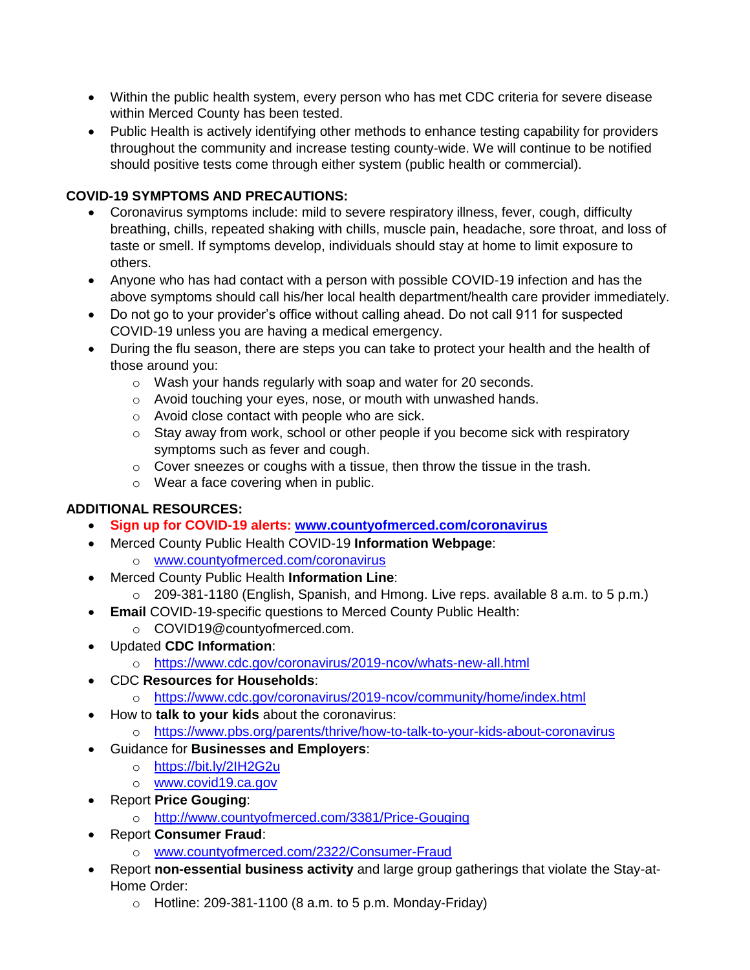- Within the public health system, every person who has met CDC criteria for severe disease within Merced County has been tested.
- Public Health is actively identifying other methods to enhance testing capability for providers throughout the community and increase testing county-wide. We will continue to be notified should positive tests come through either system (public health or commercial).

# **COVID-19 SYMPTOMS AND PRECAUTIONS:**

- Coronavirus symptoms include: mild to severe respiratory illness, fever, cough, difficulty breathing, chills, repeated shaking with chills, muscle pain, headache, sore throat, and loss of taste or smell. If symptoms develop, individuals should stay at home to limit exposure to others.
- Anyone who has had contact with a person with possible COVID-19 infection and has the above symptoms should call his/her local health department/health care provider immediately.
- Do not go to your provider's office without calling ahead. Do not call 911 for suspected COVID-19 unless you are having a medical emergency.
- During the flu season, there are steps you can take to protect your health and the health of those around you:
	- o Wash your hands regularly with soap and water for 20 seconds.
	- o Avoid touching your eyes, nose, or mouth with unwashed hands.
	- o Avoid close contact with people who are sick.
	- o Stay away from work, school or other people if you become sick with respiratory symptoms such as fever and cough.
	- $\circ$  Cover sneezes or coughs with a tissue, then throw the tissue in the trash.
	- o Wear a face covering when in public.

## **ADDITIONAL RESOURCES:**

- **Sign up for COVID-19 alerts: [www.countyofmerced.com/coronavirus](http://www.countyofmerced.com/coronavirus)**
- Merced County Public Health COVID-19 **Information Webpage**:
	- o [www.countyofmerced.com/coronavirus](http://www.countyofmerced.com/coronavirus)
- Merced County Public Health **Information Line**:
	- o 209-381-1180 (English, Spanish, and Hmong. Live reps. available 8 a.m. to 5 p.m.)
- **Email** COVID-19-specific questions to Merced County Public Health:
	- o COVID19@countyofmerced.com.
- Updated **CDC Information**:
	- o <https://www.cdc.gov/coronavirus/2019-ncov/whats-new-all.html>
- CDC **Resources for Households**:
	- o <https://www.cdc.gov/coronavirus/2019-ncov/community/home/index.html>
- How to **talk to your kids** about the coronavirus:
	- o <https://www.pbs.org/parents/thrive/how-to-talk-to-your-kids-about-coronavirus>
- Guidance for **Businesses and Employers**:
	- o <https://bit.ly/2IH2G2u>
	- o [www.covid19.ca.gov](http://www.covid19.ca.gov/)
- Report **Price Gouging**:
	- o <http://www.countyofmerced.com/3381/Price-Gouging>
- Report **Consumer Fraud**:
	- o [www.countyofmerced.com/2322/Consumer-Fraud](http://www.countyofmerced.com/2322/Consumer-Fraud)
- Report **non-essential business activity** and large group gatherings that violate the Stay-at-Home Order:
	- $\circ$  Hotline: 209-381-1100 (8 a.m. to 5 p.m. Monday-Friday)